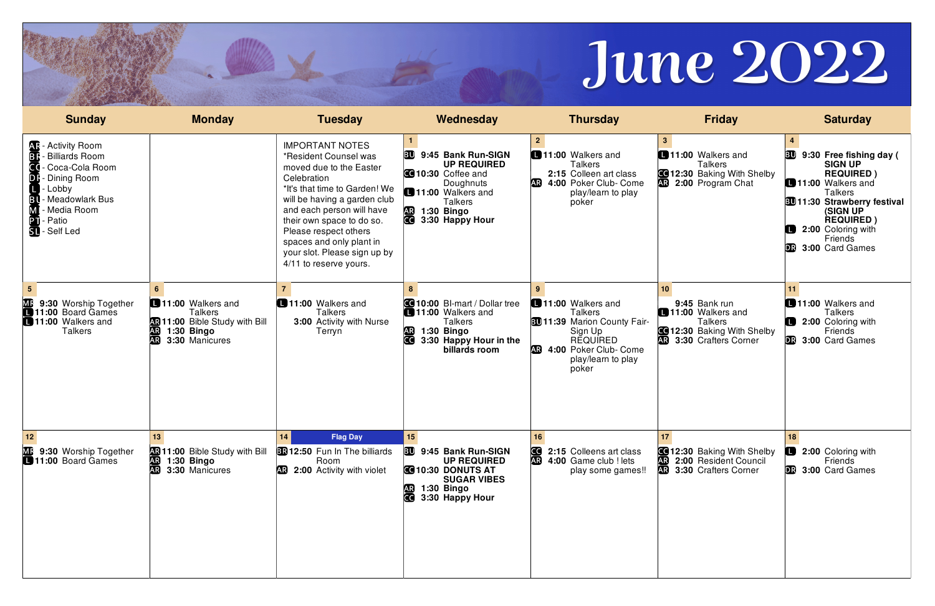| <b>Sunday</b>                                                                                                                                                | <b>Monday</b>                                                                                                          | <b>Tuesday</b>                                                                                                                                                                                                                                                                                                                      | Wednesday                                                                                                                                                                               | <b>Thursday</b>                                                                                                                                                 | <b>Friday</b>                                                                                                                                     | <b>Saturday</b>                                                                                                                                                                                                                                            |
|--------------------------------------------------------------------------------------------------------------------------------------------------------------|------------------------------------------------------------------------------------------------------------------------|-------------------------------------------------------------------------------------------------------------------------------------------------------------------------------------------------------------------------------------------------------------------------------------------------------------------------------------|-----------------------------------------------------------------------------------------------------------------------------------------------------------------------------------------|-----------------------------------------------------------------------------------------------------------------------------------------------------------------|---------------------------------------------------------------------------------------------------------------------------------------------------|------------------------------------------------------------------------------------------------------------------------------------------------------------------------------------------------------------------------------------------------------------|
| <b>AR</b> - Activity Room<br><b>Billiards Room</b><br>Coca-Cola Room<br>Dining Room<br>DI<br>Lobby<br>- Meadowlark Bus<br>Media Room<br>Patio<br>SI-Self Led |                                                                                                                        | <b>IMPORTANT NOTES</b><br>*Resident Counsel was<br>moved due to the Easter<br>Celebration<br>*It's that time to Garden! We<br>will be having a garden club<br>and each person will have<br>their own space to do so.<br>Please respect others<br>spaces and only plant in<br>your slot. Please sign up by<br>4/11 to reserve yours. | BU<br>9:45 Bank Run-SIGN<br><b>UP REQUIRED</b><br><b>C</b> 10:30 Coffee and<br>Doughnuts<br>11:00 Walkers and<br><b>Talkers</b><br><b>AR</b><br>1:30 Bingo<br><b>CO</b> 3:30 Happy Hour | $\mathbf{2}$<br>11:00 Walkers and<br><b>Talkers</b><br>2:15 Colleen art class<br><b>AR</b><br>4:00 Poker Club- Come<br>play/learn to play<br>poker              | 11:00 Walkers and<br><b>Talkers</b><br><b>C</b> 12:30 Baking With Shelby<br><b>R</b> 2:00 Program Chat                                            | 9:30 Free fishing day (<br>BU<br><b>SIGN UP</b><br><b>REQUIRED)</b><br>11:00 Walkers and<br><b>Talkers</b><br><b>BU11:30 Strawberry festival</b><br>(SIGN UP<br><b>REQUIRED)</b><br>O<br><b>2:00 Coloring with</b><br>Friends<br><b>DR</b> 3:00 Card Games |
| <b>MF</b> 9:30 Worship Together<br>11:00 Board Games<br>11:00 Walkers and<br><b>Talkers</b>                                                                  | 11:00 Walkers and<br><b>Talkers</b><br>11:00 Bible Study with Bill<br>1:30 Bingo<br>AR.<br>3:30 Manicures<br><b>AR</b> | 11:00 Walkers and<br>Talkers<br>3:00 Activity with Nurse<br>Terryn                                                                                                                                                                                                                                                                  | <b>C</b> 10:00 BI-mart / Dollar tree<br>11:00 Walkers and<br><b>Talkers</b><br><b>AR</b><br>1:30 Bingo<br>CC]<br>3:30 Happy Hour in the<br>billards room                                | 11:00 Walkers and<br><b>Talkers</b><br><b>BU11:39 Marion County Fair-</b><br>Sign Up<br><b>REQUIRED</b><br>4:00 Poker Club- Come<br>play/learn to play<br>poker | 10 <sup>1</sup><br>9:45 Bank run<br>11:00 Walkers and<br><b>Talkers</b><br><b>C</b> 12:30 Baking With Shelby<br><b>AR</b><br>3:30 Crafters Corner | 11<br>11:00 Walkers and<br><b>Talkers</b><br>2:00 Coloring with<br>Friends<br>3:00 Card Games                                                                                                                                                              |
| $12$<br><b>ME</b> 9:30 Worship Together<br><b>11:00 Board Games</b>                                                                                          | <b>AR</b> 1:30 Bingo<br><b>AR</b> 3:30 Manicures                                                                       | 14<br><b>Flag Day</b><br>11:00 Bible Study with Bill 3012:50 Fun In The billiards<br>Room<br><b>AR</b> 2:00 Activity with violet                                                                                                                                                                                                    | 15<br>30 9:45 Bank Run-SIGN<br><b>UP REQUIRED</b><br><b>C</b> 10:30 DONUTS AT<br><b>SUGAR VIBES</b><br><b>AB</b> 1:30 Bingo<br>3:30 Happy Hour                                          | 16<br>2:15 Colleens art class<br>AR 4:00 Game club ! lets<br>play some games!!                                                                                  | 17<br><b>C</b> 12:30 Baking With Shelby <b>C</b> 2:00 Coloring with<br>2:00 Resident Council<br><b>AR 3:30 Crafters Corner</b>                    | 18<br>Friends<br><b>DR</b> 3:00 Card Games                                                                                                                                                                                                                 |